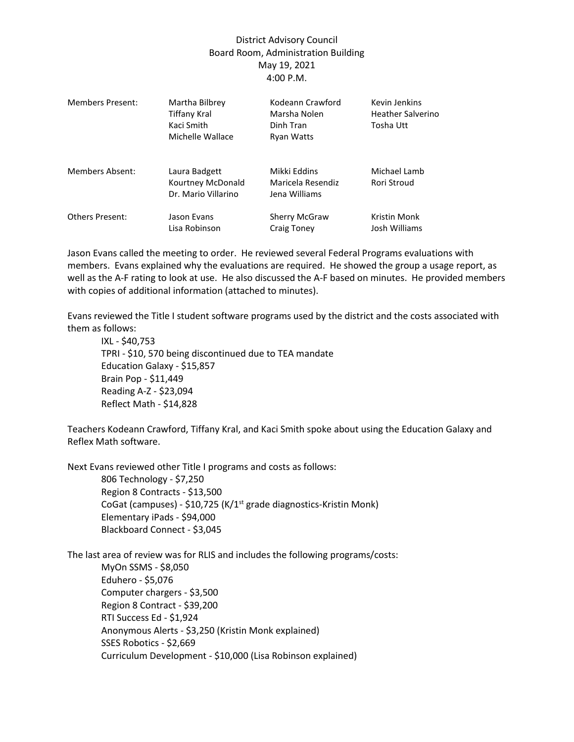## District Advisory Council Board Room, Administration Building May 19, 2021 4:00 P.M.

| Members Present:       | Martha Bilbrey<br><b>Tiffany Kral</b><br>Kaci Smith<br>Michelle Wallace | Kodeann Crawford<br>Marsha Nolen<br>Dinh Tran<br><b>Ryan Watts</b> | Kevin Jenkins<br><b>Heather Salverino</b><br>Tosha Utt |
|------------------------|-------------------------------------------------------------------------|--------------------------------------------------------------------|--------------------------------------------------------|
| <b>Members Absent:</b> | Laura Badgett<br>Kourtney McDonald<br>Dr. Mario Villarino               | Mikki Eddins<br>Maricela Resendiz<br>Jena Williams                 | Michael Lamb<br>Rori Stroud                            |
| <b>Others Present:</b> | Jason Evans<br>Lisa Robinson                                            | <b>Sherry McGraw</b><br>Craig Toney                                | Kristin Monk<br>Josh Williams                          |

Jason Evans called the meeting to order. He reviewed several Federal Programs evaluations with members. Evans explained why the evaluations are required. He showed the group a usage report, as well as the A-F rating to look at use. He also discussed the A-F based on minutes. He provided members with copies of additional information (attached to minutes).

Evans reviewed the Title I student software programs used by the district and the costs associated with them as follows:

IXL - \$40,753 TPRI - \$10, 570 being discontinued due to TEA mandate Education Galaxy - \$15,857 Brain Pop - \$11,449 Reading A-Z - \$23,094 Reflect Math - \$14,828

Teachers Kodeann Crawford, Tiffany Kral, and Kaci Smith spoke about using the Education Galaxy and Reflex Math software.

Next Evans reviewed other Title I programs and costs as follows:

806 Technology - \$7,250 Region 8 Contracts - \$13,500 CoGat (campuses) - \$10,725 (K/1<sup>st</sup> grade diagnostics-Kristin Monk) Elementary iPads - \$94,000 Blackboard Connect - \$3,045

The last area of review was for RLIS and includes the following programs/costs:

MyOn SSMS - \$8,050 Eduhero - \$5,076 Computer chargers - \$3,500 Region 8 Contract - \$39,200 RTI Success Ed - \$1,924 Anonymous Alerts - \$3,250 (Kristin Monk explained) SSES Robotics - \$2,669 Curriculum Development - \$10,000 (Lisa Robinson explained)